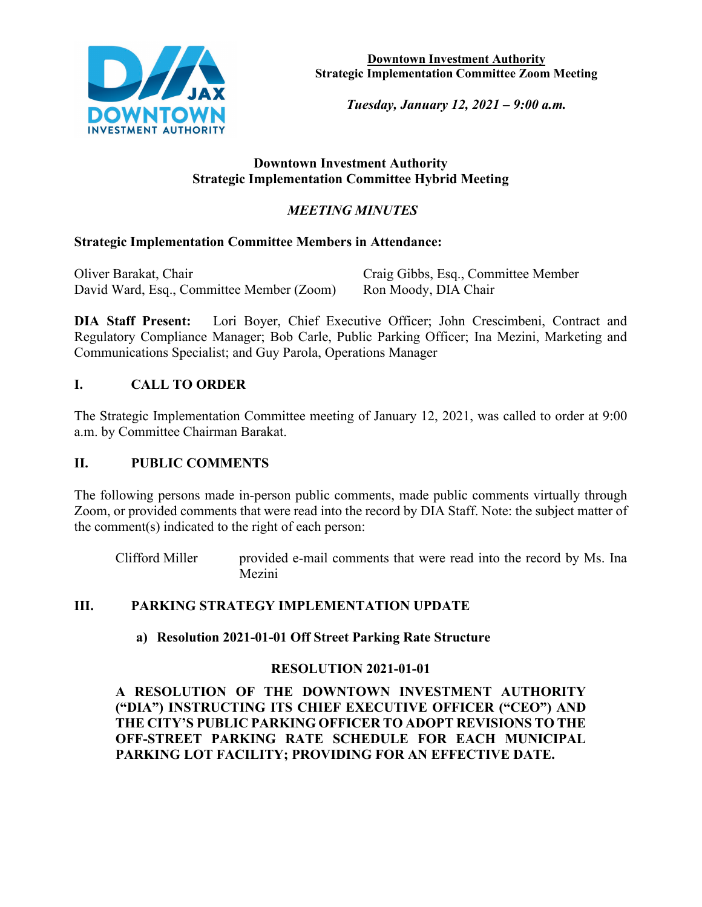

**Downtown Investment Authority Strategic Implementation Committee Zoom Meeting**

*Tuesday, January 12, 2021 – 9:00 a.m.* 

### **Downtown Investment Authority Strategic Implementation Committee Hybrid Meeting**

# *MEETING MINUTES*

### **Strategic Implementation Committee Members in Attendance:**

| Oliver Barakat, Chair                     | Craig Gibbs, Esq., Committee Member |
|-------------------------------------------|-------------------------------------|
| David Ward, Esq., Committee Member (Zoom) | Ron Moody, DIA Chair                |

**DIA Staff Present:** Lori Boyer, Chief Executive Officer; John Crescimbeni, Contract and Regulatory Compliance Manager; Bob Carle, Public Parking Officer; Ina Mezini, Marketing and Communications Specialist; and Guy Parola, Operations Manager

# **I. CALL TO ORDER**

The Strategic Implementation Committee meeting of January 12, 2021, was called to order at 9:00 a.m. by Committee Chairman Barakat.

### **II. PUBLIC COMMENTS**

The following persons made in-person public comments, made public comments virtually through Zoom, or provided comments that were read into the record by DIA Staff. Note: the subject matter of the comment(s) indicated to the right of each person:

Clifford Miller provided e-mail comments that were read into the record by Ms. Ina Mezini

# **III. PARKING STRATEGY IMPLEMENTATION UPDATE**

### **a) Resolution 2021-01-01 Off Street Parking Rate Structure**

# **RESOLUTION 2021-01-01**

**A RESOLUTION OF THE DOWNTOWN INVESTMENT AUTHORITY ("DIA") INSTRUCTING ITS CHIEF EXECUTIVE OFFICER ("CEO") AND THE CITY'S PUBLIC PARKING OFFICER TO ADOPT REVISIONS TO THE OFF-STREET PARKING RATE SCHEDULE FOR EACH MUNICIPAL PARKING LOT FACILITY; PROVIDING FOR AN EFFECTIVE DATE.**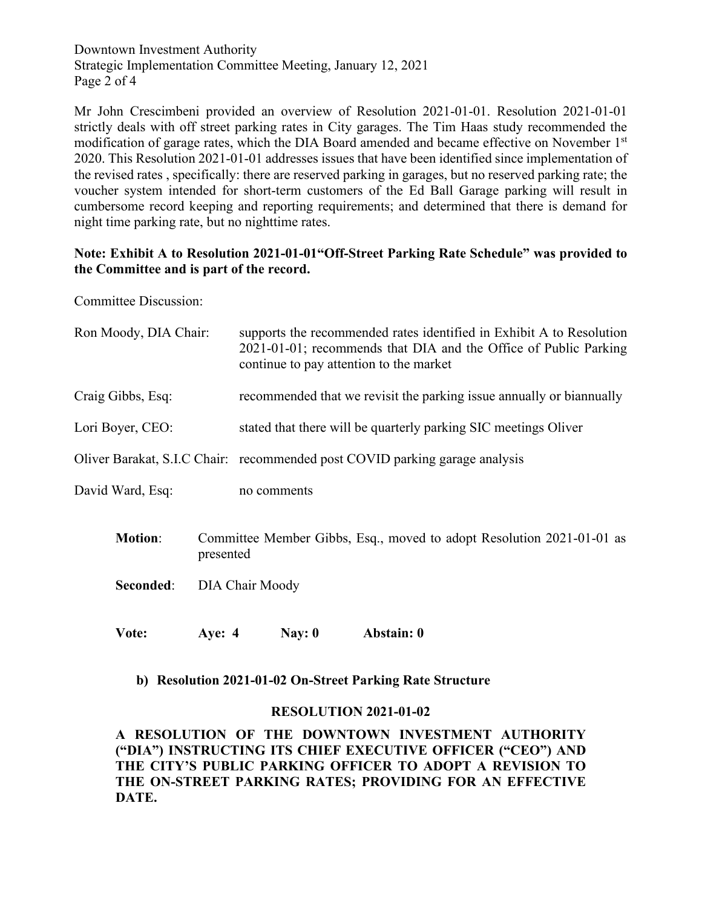Downtown Investment Authority Strategic Implementation Committee Meeting, January 12, 2021 Page 2 of 4

Mr John Crescimbeni provided an overview of Resolution 2021-01-01. Resolution 2021-01-01 strictly deals with off street parking rates in City garages. The Tim Haas study recommended the modification of garage rates, which the DIA Board amended and became effective on November 1<sup>st</sup> 2020. This Resolution 2021-01-01 addresses issues that have been identified since implementation of the revised rates , specifically: there are reserved parking in garages, but no reserved parking rate; the voucher system intended for short-term customers of the Ed Ball Garage parking will result in cumbersome record keeping and reporting requirements; and determined that there is demand for night time parking rate, but no nighttime rates.

### **Note: Exhibit A to Resolution 2021-01-01"Off-Street Parking Rate Schedule" was provided to the Committee and is part of the record.**

Committee Discussion:

| Ron Moody, DIA Chair: |                                                                                    | supports the recommended rates identified in Exhibit A to Resolution<br>2021-01-01; recommends that DIA and the Office of Public Parking<br>continue to pay attention to the market |            |  |  |
|-----------------------|------------------------------------------------------------------------------------|-------------------------------------------------------------------------------------------------------------------------------------------------------------------------------------|------------|--|--|
| Craig Gibbs, Esq:     |                                                                                    | recommended that we revisit the parking issue annually or biannually                                                                                                                |            |  |  |
| Lori Boyer, CEO:      |                                                                                    | stated that there will be quarterly parking SIC meetings Oliver                                                                                                                     |            |  |  |
|                       | Oliver Barakat, S.I.C Chair: recommended post COVID parking garage analysis        |                                                                                                                                                                                     |            |  |  |
| David Ward, Esq:      |                                                                                    | no comments                                                                                                                                                                         |            |  |  |
| <b>Motion:</b>        | Committee Member Gibbs, Esq., moved to adopt Resolution 2021-01-01 as<br>presented |                                                                                                                                                                                     |            |  |  |
| Seconded:             | DIA Chair Moody                                                                    |                                                                                                                                                                                     |            |  |  |
| Vote:                 | Aye: $4$                                                                           | Nay: $0$                                                                                                                                                                            | Abstain: 0 |  |  |

#### **b) Resolution 2021-01-02 On-Street Parking Rate Structure**

#### **RESOLUTION 2021-01-02**

**A RESOLUTION OF THE DOWNTOWN INVESTMENT AUTHORITY ("DIA") INSTRUCTING ITS CHIEF EXECUTIVE OFFICER ("CEO") AND THE CITY'S PUBLIC PARKING OFFICER TO ADOPT A REVISION TO THE ON-STREET PARKING RATES; PROVIDING FOR AN EFFECTIVE DATE.**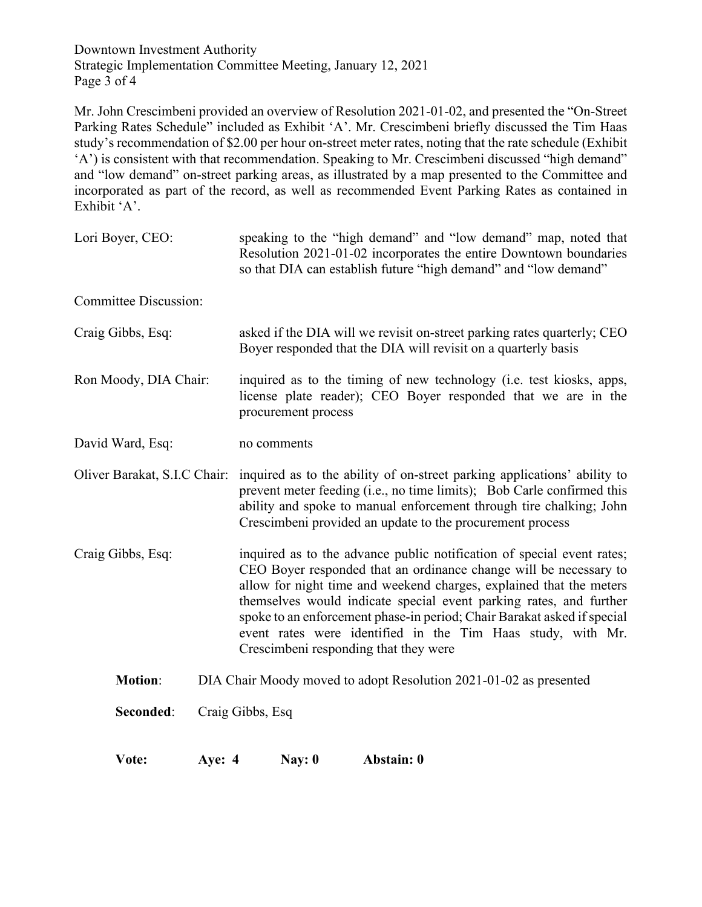Downtown Investment Authority Strategic Implementation Committee Meeting, January 12, 2021 Page 3 of 4

Mr. John Crescimbeni provided an overview of Resolution 2021-01-02, and presented the "On-Street Parking Rates Schedule" included as Exhibit 'A'. Mr. Crescimbeni briefly discussed the Tim Haas study's recommendation of \$2.00 per hour on-street meter rates, noting that the rate schedule (Exhibit 'A') is consistent with that recommendation. Speaking to Mr. Crescimbeni discussed "high demand" and "low demand" on-street parking areas, as illustrated by a map presented to the Committee and incorporated as part of the record, as well as recommended Event Parking Rates as contained in Exhibit 'A'.

| Vote:                        | <b>Aye: 4</b> |                                                                                                                                           | Nay: $0$            | Abstain: 0                                                                                                                                                                                                                                                                                                                                                                                                                                                                  |
|------------------------------|---------------|-------------------------------------------------------------------------------------------------------------------------------------------|---------------------|-----------------------------------------------------------------------------------------------------------------------------------------------------------------------------------------------------------------------------------------------------------------------------------------------------------------------------------------------------------------------------------------------------------------------------------------------------------------------------|
| Seconded:                    |               | Craig Gibbs, Esq                                                                                                                          |                     |                                                                                                                                                                                                                                                                                                                                                                                                                                                                             |
| <b>Motion:</b>               |               |                                                                                                                                           |                     | DIA Chair Moody moved to adopt Resolution 2021-01-02 as presented                                                                                                                                                                                                                                                                                                                                                                                                           |
| Craig Gibbs, Esq:            |               |                                                                                                                                           |                     | inquired as to the advance public notification of special event rates;<br>CEO Boyer responded that an ordinance change will be necessary to<br>allow for night time and weekend charges, explained that the meters<br>themselves would indicate special event parking rates, and further<br>spoke to an enforcement phase-in period; Chair Barakat asked if special<br>event rates were identified in the Tim Haas study, with Mr.<br>Crescimbeni responding that they were |
| Oliver Barakat, S.I.C Chair: |               |                                                                                                                                           |                     | inquired as to the ability of on-street parking applications' ability to<br>prevent meter feeding (i.e., no time limits); Bob Carle confirmed this<br>ability and spoke to manual enforcement through tire chalking; John<br>Crescimbeni provided an update to the procurement process                                                                                                                                                                                      |
| David Ward, Esq:             |               | no comments                                                                                                                               |                     |                                                                                                                                                                                                                                                                                                                                                                                                                                                                             |
| Ron Moody, DIA Chair:        |               |                                                                                                                                           | procurement process | inquired as to the timing of new technology (i.e. test kiosks, apps,<br>license plate reader); CEO Boyer responded that we are in the                                                                                                                                                                                                                                                                                                                                       |
| Craig Gibbs, Esq:            |               | asked if the DIA will we revisit on-street parking rates quarterly; CEO<br>Boyer responded that the DIA will revisit on a quarterly basis |                     |                                                                                                                                                                                                                                                                                                                                                                                                                                                                             |
| <b>Committee Discussion:</b> |               |                                                                                                                                           |                     |                                                                                                                                                                                                                                                                                                                                                                                                                                                                             |
| Lori Boyer, CEO:             |               |                                                                                                                                           |                     | speaking to the "high demand" and "low demand" map, noted that<br>Resolution 2021-01-02 incorporates the entire Downtown boundaries<br>so that DIA can establish future "high demand" and "low demand"                                                                                                                                                                                                                                                                      |